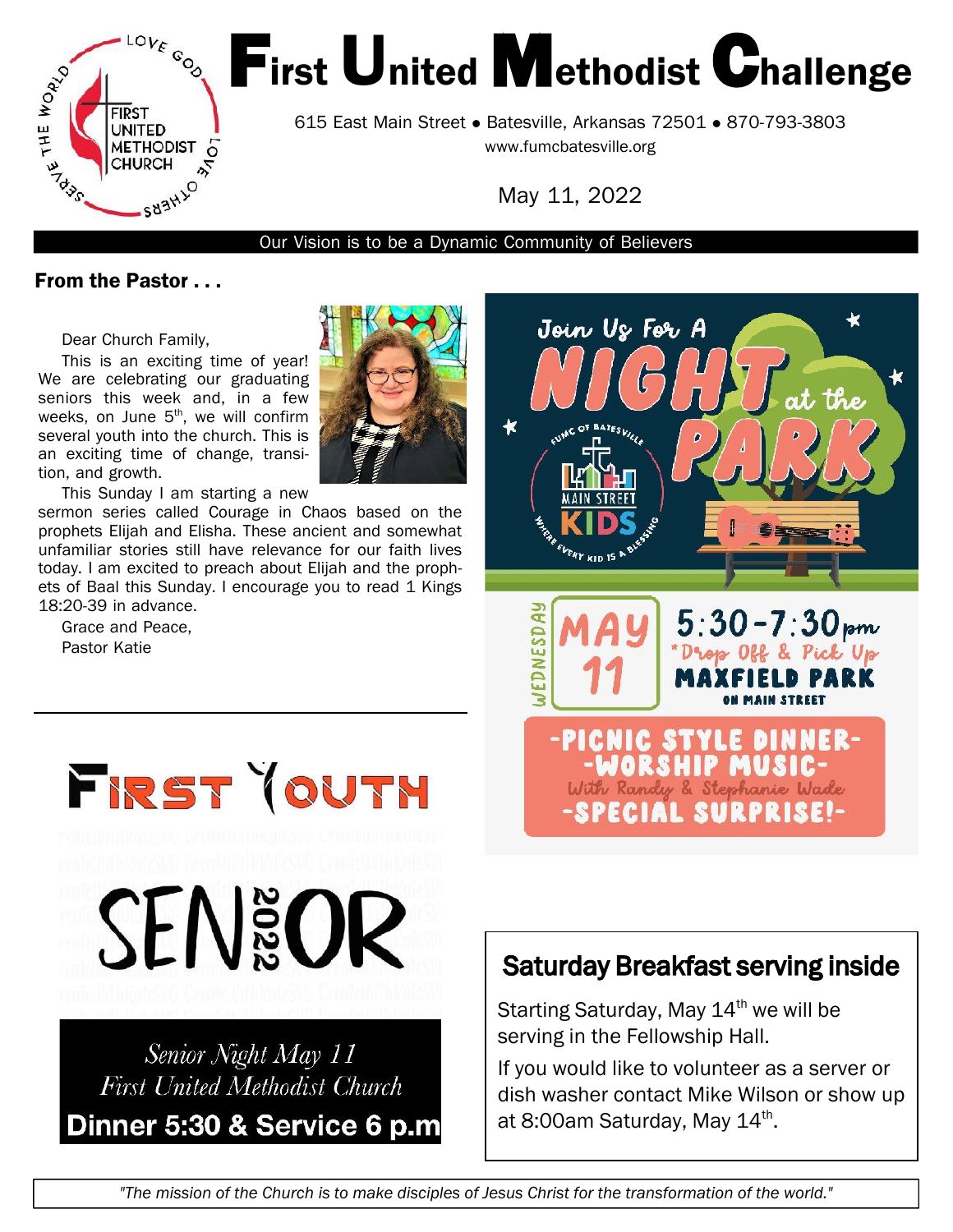

# First United Methodist Challenge

615 East Main Street • Batesville, Arkansas 72501 • 870-793-3803 <www.fumcbatesville.org>

May 11, 2022

Our Vision is to be a Dynamic Community of Believers

#### From the Pastor . . .

Dear Church Family,

This is an exciting time of year! We are celebrating our graduating seniors this week and, in a few weeks, on June  $5<sup>th</sup>$ , we will confirm  $\mathbb{Z}$ several youth into the church. This is an exciting time of change, transition, and growth.

This Sunday I am starting a new

sermon series called Courage in Chaos based on the prophets Elijah and Elisha. These ancient and somewhat unfamiliar stories still have relevance for our faith lives today. I am excited to preach about Elijah and the prophets of Baal this Sunday. I encourage you to read 1 Kings 18:20-39 in advance.

Grace and Peace, Pastor Katie





**SEN&OR** 

FRST YOUTH

# Senior Night May 11 **First United Methodist Church** Dinner 5:30 & Service 6 p.m

# Saturday Breakfast serving inside

Starting Saturday, May  $14<sup>th</sup>$  we will be serving in the Fellowship Hall.

If you would like to volunteer as a server or dish washer contact Mike Wilson or show up at 8:00am Saturday, May 14<sup>th</sup>.

"The mission of the Church is to make disciples of Jesus Christ for the transformation of the world."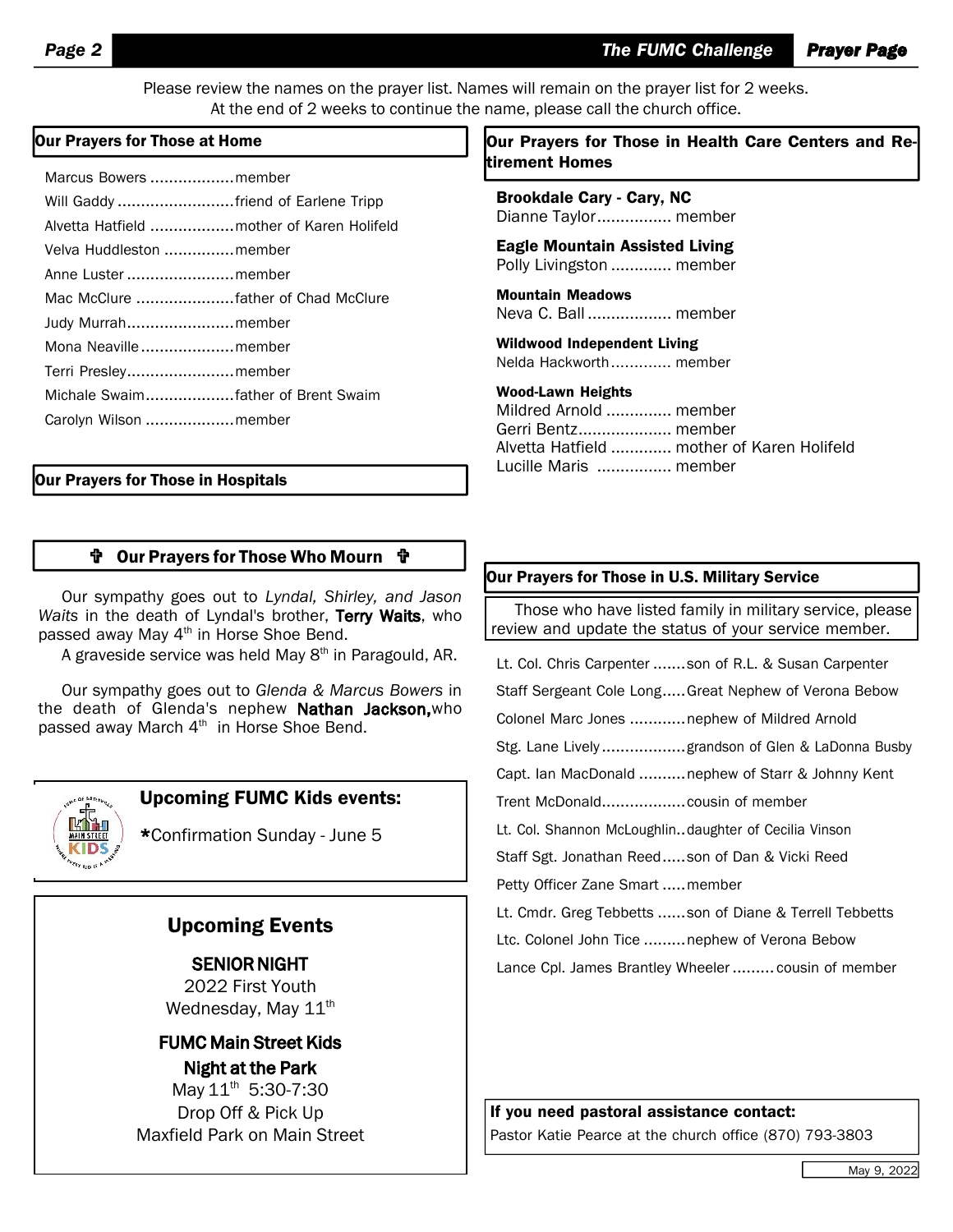Please review the names on the prayer list. Names will remain on the prayer list for 2 weeks. At the end of 2 weeks to continue the name, please call the church office.

| Marcus Bowers member                       |  |
|--------------------------------------------|--|
| Will Gaddy friend of Earlene Tripp         |  |
| Alvetta Hatfield  mother of Karen Holifeld |  |
| Velva Huddleston member                    |  |
| Anne Luster member                         |  |
|                                            |  |
| Judy Murrahmember                          |  |
| Mona Neavillemember                        |  |
| Terri Presleymember                        |  |
| Michale Swaimfather of Brent Swaim         |  |
| Carolyn Wilson member                      |  |
|                                            |  |

#### Our Prayers for Those in Hospitals

#### Our Prayers for Those Who Mourn

Our sympathy goes out to *Lyndal, Shirley, and Jason Waits* in the death of Lyndal's brother, Terry Waits, who passed away May 4<sup>th</sup> in Horse Shoe Bend.

A graveside service was held May 8<sup>th</sup> in Paragould, AR.

Our sympathy goes out to *Glenda & Marcus Bowers* in the death of Glenda's nephew Nathan Jackson, who passed away March 4<sup>th</sup> in Horse Shoe Bend.



#### Upcoming FUMC Kids events:

\*Confirmation Sunday - June 5

#### Upcoming Events

SENIOR NIGHT 2022 First Youth Wednesday, May  $11^{\text{th}}$ 

FUMC Main Street Kids Night at the Park May 11<sup>th</sup> 5:30-7:30 Drop Off & Pick Up Maxfield Park on Main Street

#### Our Prayers for Those at Home  $\blacksquare$   $\blacksquare$  Our Prayers for Those in Health Care Centers and Retirement Homes

Brookdale Cary - Cary, NC Dianne Taylor................ member

Eagle Mountain Assisted Living Polly Livingston ............. member

Mountain Meadows Neva C. Ball .................. member

Wildwood Independent Living Nelda Hackworth............. member

#### Wood-Lawn Heights

Mildred Arnold .............. member Gerri Bentz.................... member Alvetta Hatfield ............. mother of Karen Holifeld Lucille Maris ................ member

#### Our Prayers for Those in U.S. Military Service

Those who have listed family in military service, please review and update the status of your service member.

Lt. Col. Chris Carpenter .......son of R.L. & Susan Carpenter

Staff Sergeant Cole Long.....Great Nephew of Verona Bebow

Colonel Marc Jones ............nephew of Mildred Arnold

Stg. Lane Lively ..................grandson of Glen & LaDonna Busby

Capt. Ian MacDonald ..........nephew of Starr & Johnny Kent

Trent McDonald..................cousin of member

Lt. Col. Shannon McLoughlin..daughter of Cecilia Vinson

Staff Sgt. Jonathan Reed.....son of Dan & Vicki Reed

Petty Officer Zane Smart .....member

Lt. Cmdr. Greg Tebbetts ......son of Diane & Terrell Tebbetts

Ltc. Colonel John Tice .........nephew of Verona Bebow

Lance Cpl. James Brantley Wheeler ......... cousin of member

If you need pastoral assistance contact:

Pastor Katie Pearce at the church office (870) 793-3803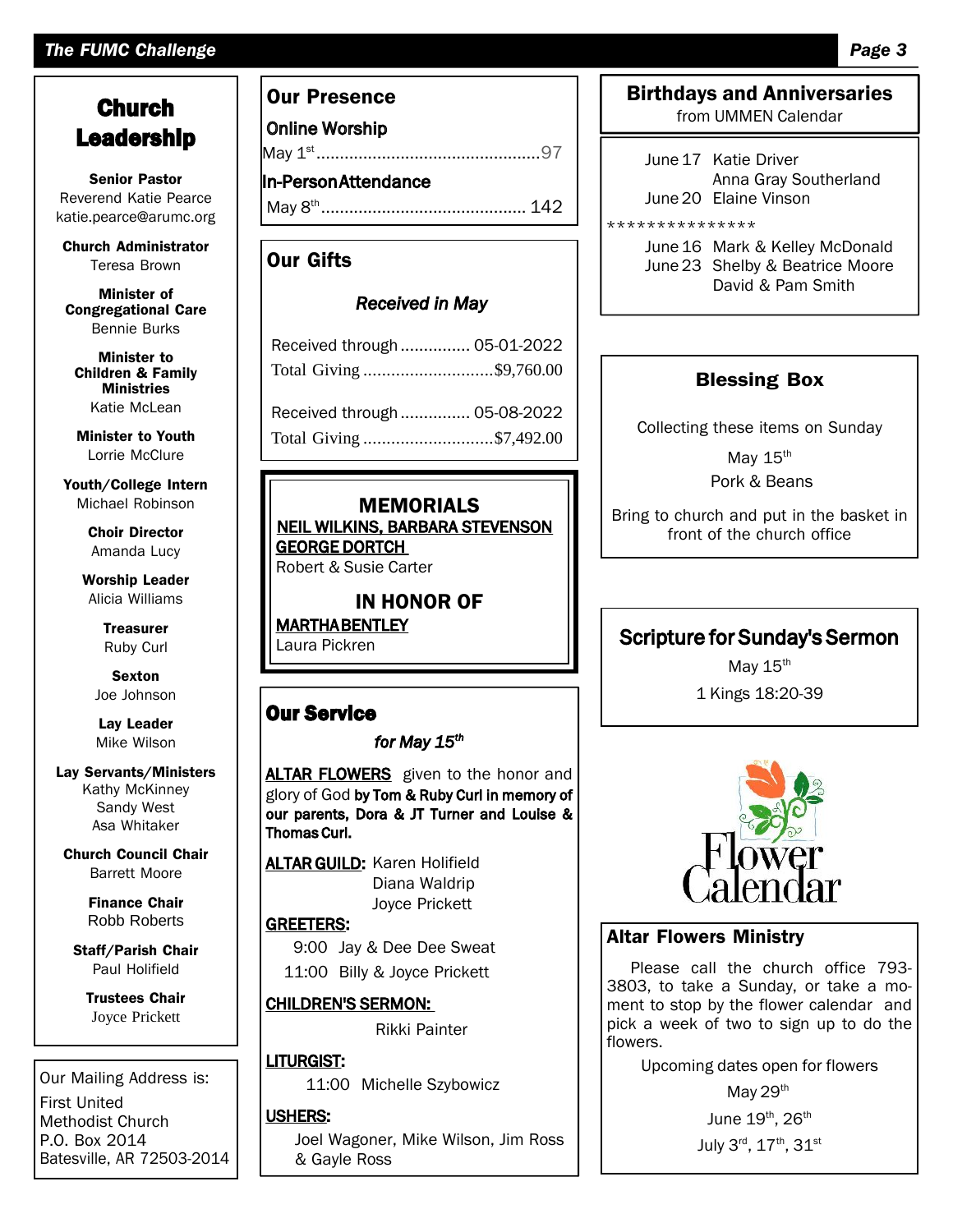#### *The FUMC Challenge Page 3*

## **Church** Leadership

Senior Pastor Reverend Katie Pearce katie.pearce@arumc.org

Church [Administrator](mailto:pearce@arumc.orgChurch) Teresa Brown

Minister of Congregational Care Bennie Burks

Minister to Children & Family Ministries Katie McLean

Minister to Youth Lorrie McClure

Youth/College Intern Michael Robinson

> Choir Director Amanda Lucy

Worship Leader Alicia Williams

> **Treasurer** Ruby Curl

Sexton Joe Johnson

Lay Leader Mike Wilson

#### Lay Servants/Ministers Kathy McKinney Sandy West Asa Whitaker

Church Council Chair Barrett Moore

> Finance Chair Robb Roberts

Staff/Parish Chair Paul Holifield

Trustees Chair Joyce Prickett

Our Mailing Address is: First United Methodist Church P.O. Box 2014 Batesville, AR 72503-2014

#### Our Presence

Online Worship

May 1 st ................................................97

In-PersonAttendance May 8 th ............................................ 142

#### Our Gifts

#### *Received in May*

| Received through  05-01-2022 |  |  |
|------------------------------|--|--|
| Total Giving \$9,760.00      |  |  |
| Received through  05-08-2022 |  |  |
| Total Giving \$7,492.00      |  |  |

#### MEMORIALS

NEIL WILKINS, BARBARA STEVENSON GEORGE DORTCH Robert & Susie Carter

#### IN HONOR OF

MARTHABENTLEY Laura Pickren

#### Our Service

#### *for May 15th*

ALTAR FLOWERS given to the honor and glory of God by Tom & Ruby Curl in memory of our parents, Dora & JT Turner and Louise & Thomas Curl.

**ALTAR GUILD: Karen Holifield** Diana Waldrip Joyce Prickett

#### GREETERS:

9:00 Jay & Dee Dee Sweat 11:00 Billy & Joyce Prickett

#### CHILDREN'S SERMON:

Rikki Painter

#### LITURGIST:

11:00 Michelle Szybowicz

#### USHERS:

Joel Wagoner, Mike Wilson, Jim Ross & Gayle Ross

# Birthdays and Anniversaries

from UMMEN Calendar

June17 Katie Driver Anna Gray Southerland June20 Elaine Vinson

\*\*\*\*\*\*\*\*\*\*\*\*\*\*\*

June 16 Mark & Kelley McDonald June23 Shelby & Beatrice Moore David & Pam Smith

#### Blessing Box

Collecting these items on Sunday

May  $15<sup>th</sup>$ Pork & Beans

Bring to church and put in the basket in front of the church office

### Scripture for Sunday's Sermon

May  $15<sup>th</sup>$ 1 Kings 18:20-39



#### Altar Flowers Ministry

Please call the church office 793-3803, to take a Sunday, or take a moment to stop by the flower calendar and pick a week of two to sign up to do the flowers.

Upcoming dates open for flowers

May 29<sup>th</sup>

June  $19^{\text{th}}$ ,  $26^{\text{th}}$ 

July 3 $^{\sf rd}$ , 17 $^{\sf th}$ , 31 $^{\sf st}$